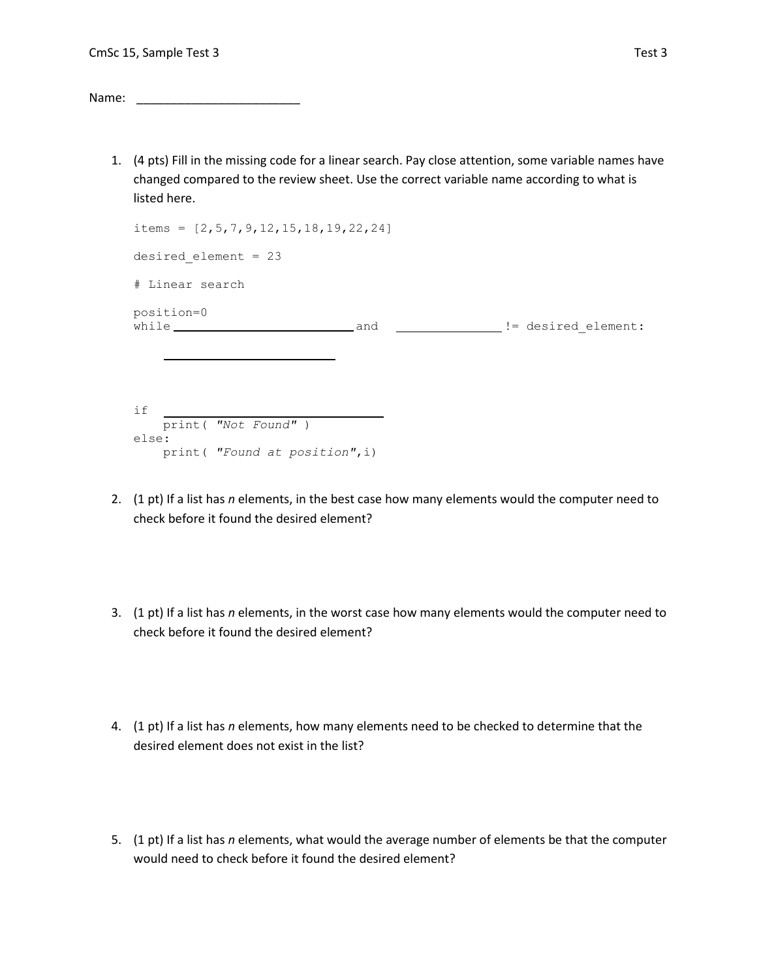Name: \_\_\_\_\_\_\_\_\_\_\_\_\_\_\_\_\_\_\_\_\_\_\_\_

1. (4 pts) Fill in the missing code for a linear search. Pay close attention, some variable names have changed compared to the review sheet. Use the correct variable name according to what is listed here.

| items = $[2, 5, 7, 9, 12, 15, 18, 19, 22, 24]$ |  |  |                                |  |  |  |  |  |
|------------------------------------------------|--|--|--------------------------------|--|--|--|--|--|
| desired element = $23$                         |  |  |                                |  |  |  |  |  |
| # Linear search                                |  |  |                                |  |  |  |  |  |
| position=0<br>while and                        |  |  | __________ != desired element: |  |  |  |  |  |
| if<br>print ( "Not Found" )                    |  |  |                                |  |  |  |  |  |
| else:                                          |  |  |                                |  |  |  |  |  |
| print ( "Found at position", i)                |  |  |                                |  |  |  |  |  |

- 2. (1 pt) If a list has *n* elements, in the best case how many elements would the computer need to check before it found the desired element?
- 3. (1 pt) If a list has *n* elements, in the worst case how many elements would the computer need to check before it found the desired element?
- 4. (1 pt) If a list has *n* elements, how many elements need to be checked to determine that the desired element does not exist in the list?
- 5. (1 pt) If a list has *n* elements, what would the average number of elements be that the computer would need to check before it found the desired element?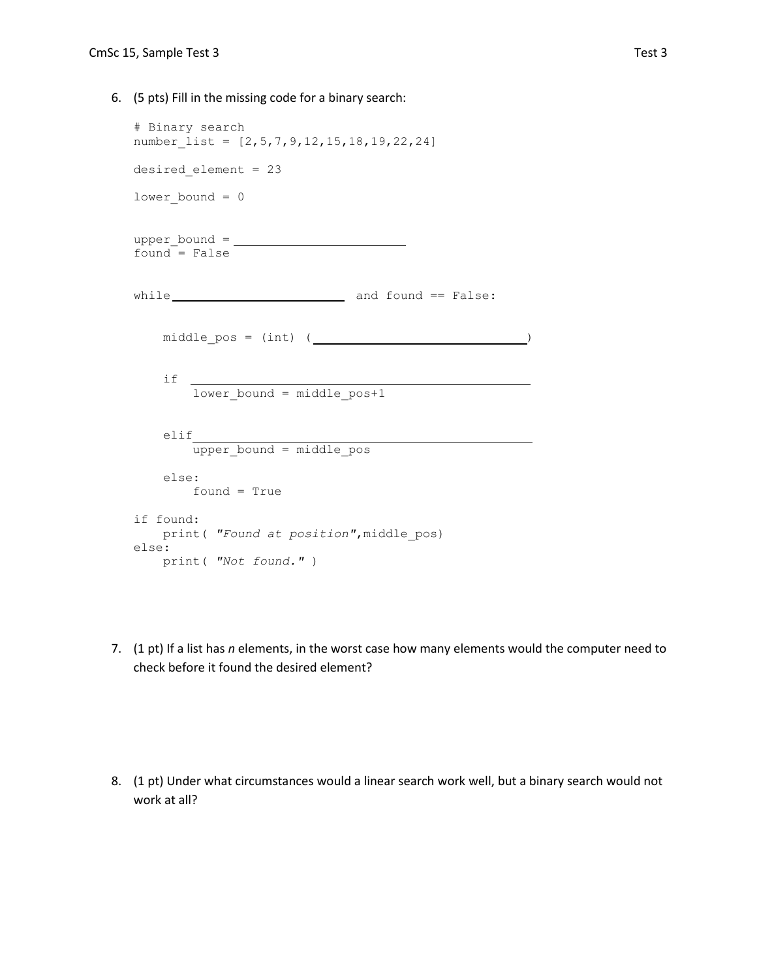6. (5 pts) Fill in the missing code for a binary search:

```
# Binary search
number_list = [2,5,7,9,12,15,18,19,22,24]
desired_element = 23
lower bound = 0upper bound = \fbox{10cm}found = Falsewhile \qquad \qquad and found == False:
   middlepos = (int) ( \qquad \qquad )
    if 
       lower bound = middle post1 elif 
       upper bound = middle pos else:
       found = True
if found:
   print( "Found at position",middle_pos)
else:
    print( "Not found." )
```
7. (1 pt) If a list has *n* elements, in the worst case how many elements would the computer need to check before it found the desired element?

8. (1 pt) Under what circumstances would a linear search work well, but a binary search would not work at all?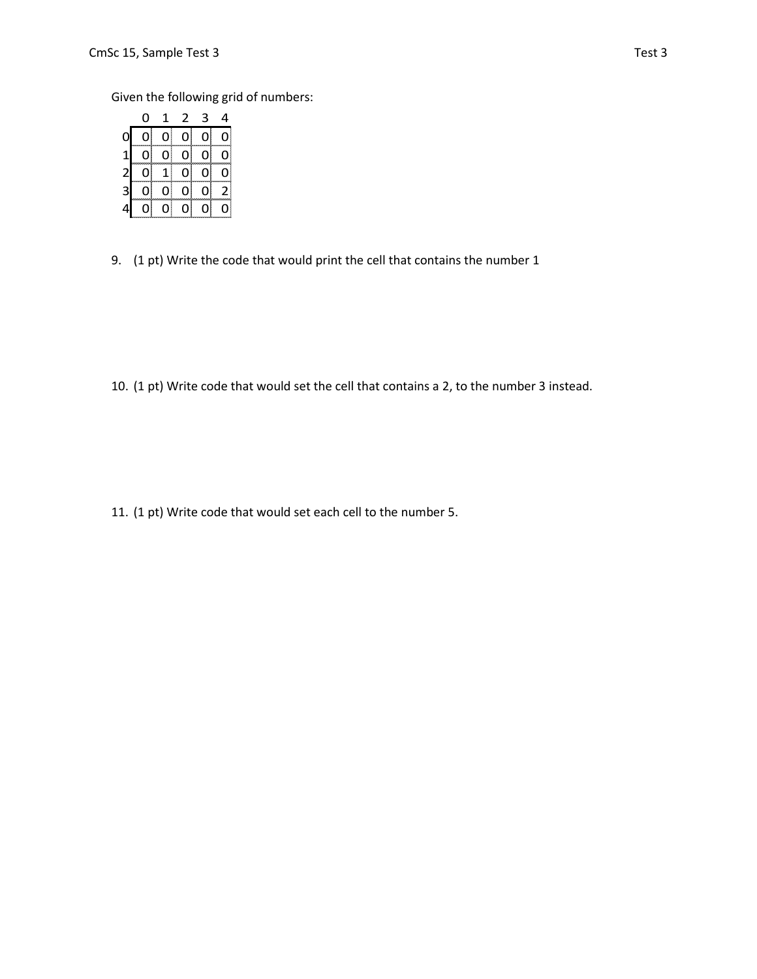Given the following grid of numbers:

|                         | 0  | $\mathbf 1$    | $\overline{2}$ | $\mathsf 3$ | 4            |
|-------------------------|----|----------------|----------------|-------------|--------------|
| 0                       | 0) | $\overline{0}$ | 0              | 0           | 0            |
| $\mathbf{1}$            | 0  | 0              | $\overline{O}$ | 0           | ıİ           |
| $\mathbf{L}$            | 0  | 1              | 01             | 0           | O            |
| $\overline{\mathbf{3}}$ | ΩI | 0              | 01             | 01          | $\mathsf{2}$ |
| 4                       | 01 | 0              | 01             | 0           |              |

9. (1 pt) Write the code that would print the cell that contains the number 1

10. (1 pt) Write code that would set the cell that contains a 2, to the number 3 instead.

11. (1 pt) Write code that would set each cell to the number 5.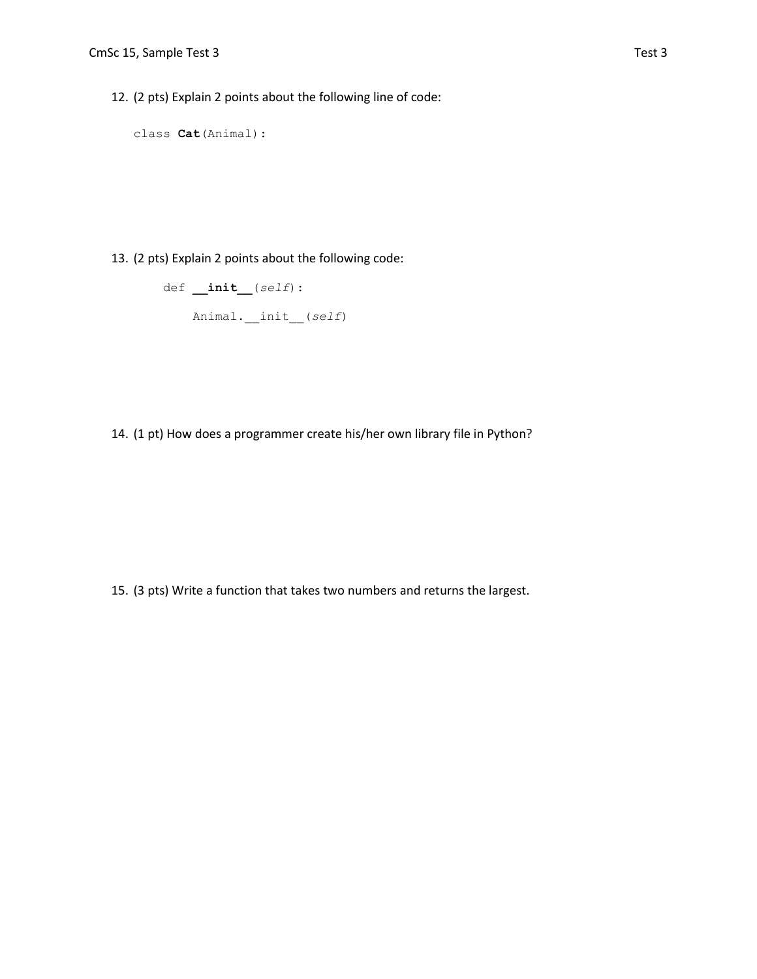12. (2 pts) Explain 2 points about the following line of code:

```
class Cat(Animal):
```
13. (2 pts) Explain 2 points about the following code:

```
 def __init__(self):
     Animal.__init__(self)
```
14. (1 pt) How does a programmer create his/her own library file in Python?

15. (3 pts) Write a function that takes two numbers and returns the largest.